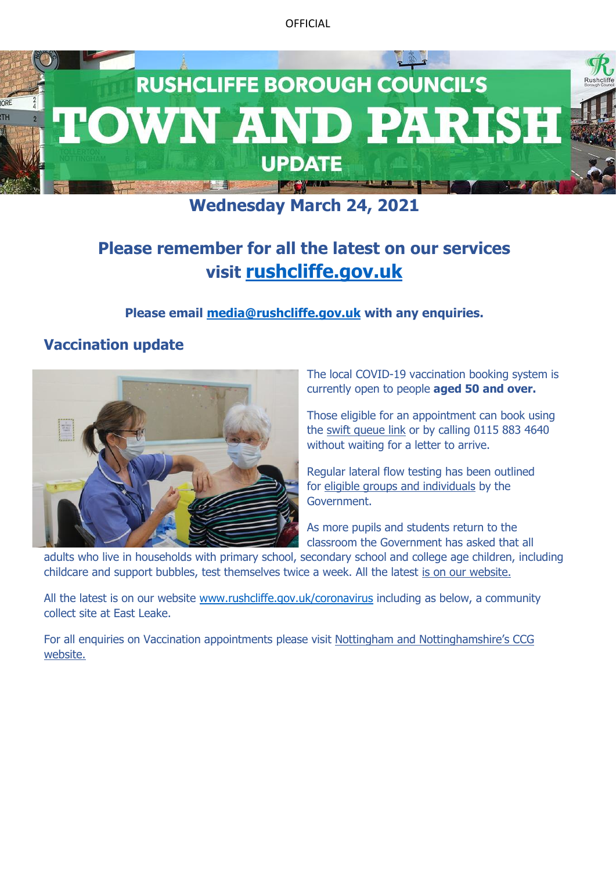

# **Wednesday March 24, 2021**

# **Please remember for all the latest on our services visit [rushcliffe.gov.uk](http://www.rushcliffe.gov.uk/)**

### **Please email [media@rushcliffe.gov.uk](mailto:media@rushcliffe.gov.uk) with any enquiries.**

# **Vaccination update**



The local COVID-19 vaccination booking system is currently open to people **aged 50 and over.**

Those eligible for an appointment can book using the [swift queue link](https://www.swiftqueue.co.uk/nottinghamc19vpatient.php) or by calling 0115 883 4640 without waiting for a letter to arrive.

Regular lateral flow testing has been outlined for [eligible groups and individuals](https://www.gov.uk/guidance/rapid-lateral-flow-testing-for-households-and-bubbles-of-school-pupils-and-staff) by the Government.

As more pupils and students return to the classroom the Government has asked that all

adults who live in households with primary school, secondary school and college age children, including childcare and support bubbles, test themselves twice a week. All the latest [is on our website.](https://www.rushcliffe.gov.uk/environmentandwaste/emergencyplanning/coronavirus/#d.en.52852)

All the latest is on our website [www.rushcliffe.gov.uk/coronavirus](http://www.rushcliffe.gov.uk/coronavirus) including as below, a community collect site at East Leake.

For all enquiries on Vaccination appointments please visit [Nottingham and Nottinghamshire's CCG](https://nottsccg.nhs.uk/covid-19/)  [website.](https://nottsccg.nhs.uk/covid-19/)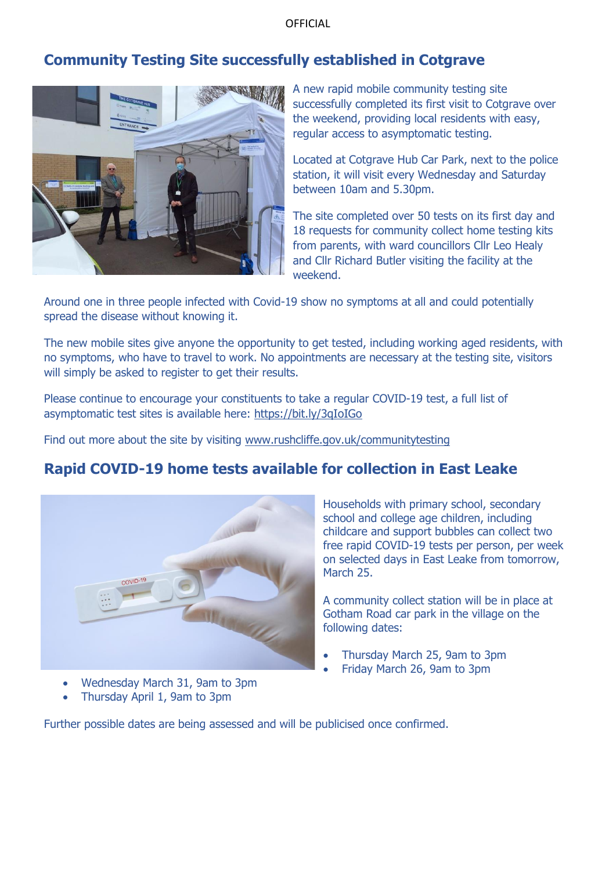## **Community Testing Site successfully established in Cotgrave**



A new rapid mobile community testing site successfully completed its first visit to Cotgrave over the weekend, providing local residents with easy, regular access to asymptomatic testing.

Located at Cotgrave Hub Car Park, next to the police station, it will visit every Wednesday and Saturday between 10am and 5.30pm.

The site completed over 50 tests on its first day and 18 requests for community collect home testing kits from parents, with ward councillors Cllr Leo Healy and Cllr Richard Butler visiting the facility at the weekend.

Around one in three people infected with Covid-19 show no symptoms at all and could potentially spread the disease without knowing it.

The new mobile sites give anyone the opportunity to get tested, including working aged residents, with no symptoms, who have to travel to work. No appointments are necessary at the testing site, visitors will simply be asked to register to get their results.

Please continue to encourage your constituents to take a regular COVID-19 test, a full list of asymptomatic test sites is available here: [https://bit.ly/3qIoIGo](https://gbr01.safelinks.protection.outlook.com/?url=https%3A%2F%2Flnks.gd%2Fl%2FeyJhbGciOiJIUzI1NiJ9.eyJidWxsZXRpbl9saW5rX2lkIjoxMDEsInVyaSI6ImJwMjpjbGljayIsImJ1bGxldGluX2lkIjoiMjAyMTAyMjguMzYwNzk1NDEiLCJ1cmwiOiJodHRwczovL2JpdC5seS8zcUlvSUdvIn0.ertcEgYJEvLvnAjgLBufyCZiKWMJzRX4EvC9zGwGui8%2Fs%2F1114424393%2Fbr%2F98459492956-l&data=04%7C01%7C%7C9b78c6d5f1aa45e78de408d8e572f1a3%7C0fb26f95b29d4825a41a86c75ea1246a%7C1%7C0%7C637511629131348007%7CUnknown%7CTWFpbGZsb3d8eyJWIjoiMC4wLjAwMDAiLCJQIjoiV2luMzIiLCJBTiI6Ik1haWwiLCJXVCI6Mn0%3D%7C1000&sdata=iDfm0OZxdCDCUD6deJu7cYXqTobZNPEIcFzDh6aOv90%3D&reserved=0)

Find out more about the site by visiting [www.rushcliffe.gov.uk/communitytesting](http://www.rushcliffe.gov.uk/communitytesting)

### **Rapid COVID-19 home tests available for collection in East Leake**



- Wednesday March 31, 9am to 3pm
- Thursday April 1, 9am to 3pm

Households with primary school, secondary school and college age children, including childcare and support bubbles can collect two free rapid COVID-19 tests per person, per week on selected days in East Leake from tomorrow, March 25.

A community collect station will be in place at Gotham Road car park in the village on the following dates:

- Thursday March 25, 9am to 3pm
- Friday March 26, 9am to 3pm

Further possible dates are being assessed and will be publicised once confirmed.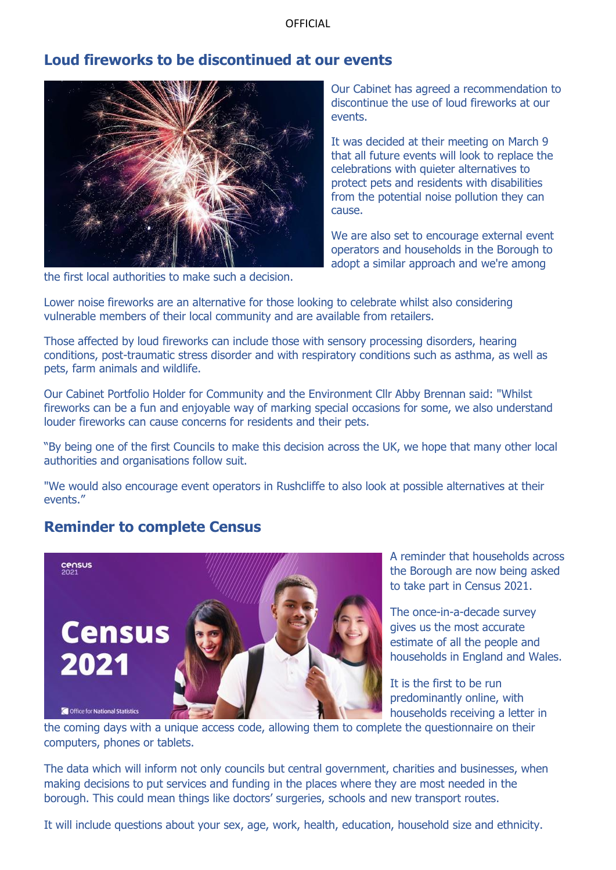### **Loud fireworks to be discontinued at our events**



the first local authorities to make such a decision.

Our Cabinet has agreed a recommendation to discontinue the use of loud fireworks at our events.

It was decided at their meeting on March 9 that all future events will look to replace the celebrations with quieter alternatives to protect pets and residents with disabilities from the potential noise pollution they can cause.

We are also set to encourage external event operators and households in the Borough to adopt a similar approach and we're among

Lower noise fireworks are an alternative for those looking to celebrate whilst also considering vulnerable members of their local community and are available from retailers.

Those affected by loud fireworks can include those with sensory processing disorders, hearing conditions, post-traumatic stress disorder and with respiratory conditions such as asthma, as well as pets, farm animals and wildlife.

Our Cabinet Portfolio Holder for Community and the Environment Cllr Abby Brennan said: "Whilst fireworks can be a fun and enjoyable way of marking special occasions for some, we also understand louder fireworks can cause concerns for residents and their pets.

"By being one of the first Councils to make this decision across the UK, we hope that many other local authorities and organisations follow suit.

"We would also encourage event operators in Rushcliffe to also look at possible alternatives at their events."

### **Reminder to complete Census**



A reminder that households across the Borough are now being asked to take part in Census 2021.

The once-in-a-decade survey gives us the most accurate estimate of all the people and households in England and Wales.

It is the first to be run predominantly online, with households receiving a letter in

the coming days with a unique access code, allowing them to complete the questionnaire on their computers, phones or tablets.

The data which will inform not only councils but central government, charities and businesses, when making decisions to put services and funding in the places where they are most needed in the borough. This could mean things like doctors' surgeries, schools and new transport routes.

It will include questions about your sex, age, work, health, education, household size and ethnicity.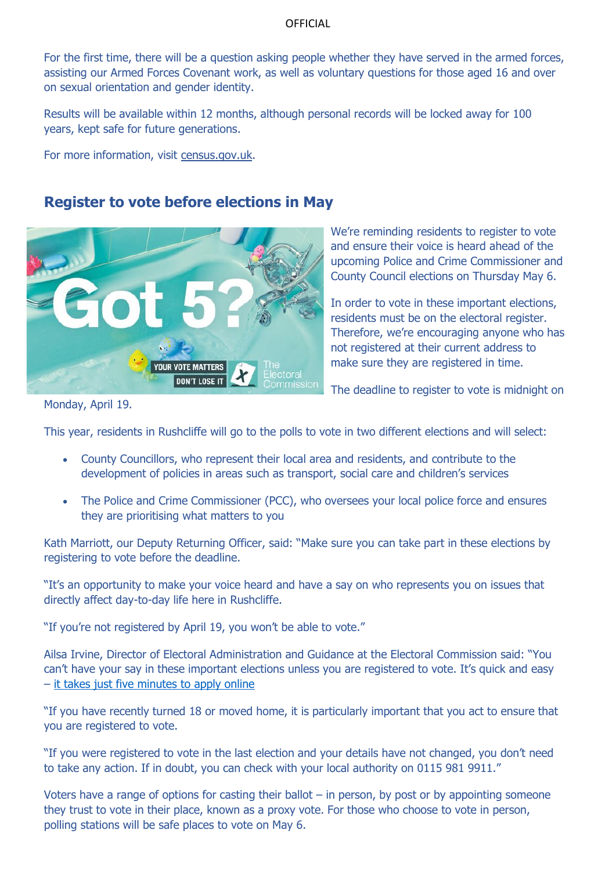For the first time, there will be a question asking people whether they have served in the armed forces, assisting our Armed Forces Covenant work, as well as voluntary questions for those aged 16 and over on sexual orientation and gender identity.

Results will be available within 12 months, although personal records will be locked away for 100 years, kept safe for future generations.

For more information, visit [census.gov.uk.](https://gbr01.safelinks.protection.outlook.com/?url=http%3A%2F%2Fcensus.gov.uk%2F&data=04%7C01%7C%7C08642f6969c34cf0afad08d8c209eaff%7C0fb26f95b29d4825a41a86c75ea1246a%7C1%7C0%7C637472695165967806%7CUnknown%7CTWFpbGZsb3d8eyJWIjoiMC4wLjAwMDAiLCJQIjoiV2luMzIiLCJBTiI6Ik1haWwiLCJXVCI6Mn0%3D%7C1000&sdata=AZ7v8ZNysYDEJKz%2FCwuVCgyD1RTgBusZ6drWNTVOH9Y%3D&reserved=0)

### **Register to vote before elections in May**



We're reminding residents to register to vote and ensure their voice is heard ahead of the upcoming Police and Crime Commissioner and County Council elections on Thursday May 6.

In order to vote in these important elections, residents must be on the electoral register. Therefore, we're encouraging anyone who has not registered at their current address to make sure they are registered in time.

The deadline to register to vote is midnight on

Monday, April 19.

This year, residents in Rushcliffe will go to the polls to vote in two different elections and will select:

- County Councillors, who represent their local area and residents, and contribute to the development of policies in areas such as transport, social care and children's services
- The Police and Crime Commissioner (PCC), who oversees your local police force and ensures they are prioritising what matters to you

Kath Marriott, our Deputy Returning Officer, said: "Make sure you can take part in these elections by registering to vote before the deadline.

"It's an opportunity to make your voice heard and have a say on who represents you on issues that directly affect day-to-day life here in Rushcliffe.

"If you're not registered by April 19, you won't be able to vote."

Ailsa Irvine, Director of Electoral Administration and Guidance at the Electoral Commission said: "You can't have your say in these important elections unless you are registered to vote. It's quick and easy – [it takes just five minutes to apply online](https://gov.uk/register-to-vote)

"If you have recently turned 18 or moved home, it is particularly important that you act to ensure that you are registered to vote.

"If you were registered to vote in the last election and your details have not changed, you don't need to take any action. If in doubt, you can check with your local authority on 0115 981 9911."

Voters have a range of options for casting their ballot – in person, by post or by appointing someone they trust to vote in their place, known as a proxy vote. For those who choose to vote in person, polling stations will be safe places to vote on May 6.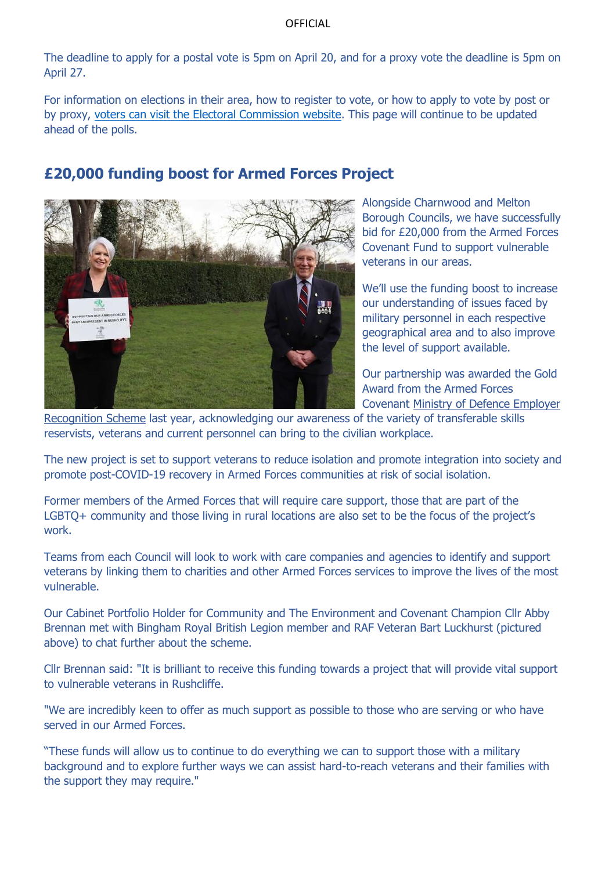The deadline to apply for a postal vote is 5pm on April 20, and for a proxy vote the deadline is 5pm on April 27.

For information on elections in their area, how to register to vote, or how to apply to vote by post or by proxy, [voters can visit the Electoral Commission website.](https://www.electoralcommission.org.uk/voter) This page will continue to be updated ahead of the polls.

## **£20,000 funding boost for Armed Forces Project**



Alongside Charnwood and Melton Borough Councils, we have successfully bid for £20,000 from the Armed Forces Covenant Fund to support vulnerable veterans in our areas.

We'll use the funding boost to increase our understanding of issues faced by military personnel in each respective geographical area and to also improve the level of support available.

Our partnership was awarded the Gold Award from the Armed Forces Covenant [Ministry of Defence Employer](https://www.gov.uk/government/groups/defence-relationship-management) 

[Recognition Scheme](https://www.gov.uk/government/groups/defence-relationship-management) last year, acknowledging our awareness of the variety of transferable skills reservists, veterans and current personnel can bring to the civilian workplace.

The new project is set to support veterans to reduce isolation and promote integration into society and promote post-COVID-19 recovery in Armed Forces communities at risk of social isolation.

Former members of the Armed Forces that will require care support, those that are part of the LGBTQ+ community and those living in rural locations are also set to be the focus of the project's work.

Teams from each Council will look to work with care companies and agencies to identify and support veterans by linking them to charities and other Armed Forces services to improve the lives of the most vulnerable.

Our Cabinet Portfolio Holder for Community and The Environment and Covenant Champion Cllr Abby Brennan met with Bingham Royal British Legion member and RAF Veteran Bart Luckhurst (pictured above) to chat further about the scheme.

Cllr Brennan said: "It is brilliant to receive this funding towards a project that will provide vital support to vulnerable veterans in Rushcliffe.

"We are incredibly keen to offer as much support as possible to those who are serving or who have served in our Armed Forces.

"These funds will allow us to continue to do everything we can to support those with a military background and to explore further ways we can assist hard-to-reach veterans and their families with the support they may require."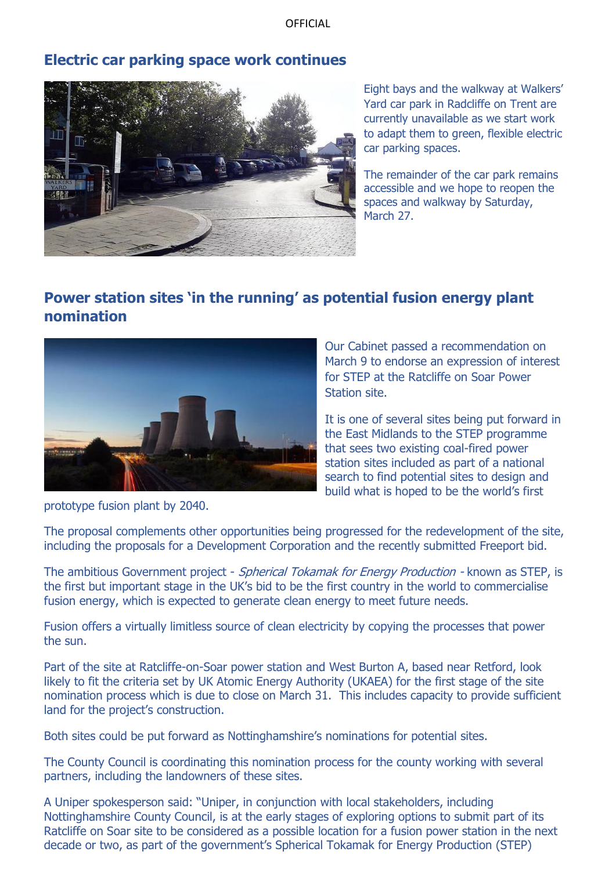### **Electric car parking space work continues**



Eight bays and the walkway at Walkers' Yard car park in Radcliffe on Trent are currently unavailable as we start work to adapt them to green, flexible electric car parking spaces.

The remainder of the car park remains accessible and we hope to reopen the spaces and walkway by Saturday, March 27.

# **Power station sites 'in the running' as potential fusion energy plant nomination**



Our Cabinet passed a recommendation on March 9 to endorse an expression of interest for STEP at the Ratcliffe on Soar Power Station site.

It is one of several sites being put forward in the East Midlands to the STEP programme that sees two existing coal-fired power station sites included as part of a national search to find potential sites to design and build what is hoped to be the world's first

prototype fusion plant by 2040.

The proposal complements other opportunities being progressed for the redevelopment of the site, including the proposals for a Development Corporation and the recently submitted Freeport bid.

The ambitious Government project - Spherical Tokamak for Energy Production - known as STEP, is the first but important stage in the UK's bid to be the first country in the world to commercialise fusion energy, which is expected to generate clean energy to meet future needs.

Fusion offers a virtually limitless source of clean electricity by copying the processes that power the sun.

Part of the site at Ratcliffe-on-Soar power station and West Burton A, based near Retford, look likely to fit the criteria set by UK Atomic Energy Authority (UKAEA) for the first stage of the site nomination process which is due to close on March 31. This includes capacity to provide sufficient land for the project's construction.

Both sites could be put forward as Nottinghamshire's nominations for potential sites.

The County Council is coordinating this nomination process for the county working with several partners, including the landowners of these sites.

A Uniper spokesperson said: "Uniper, in conjunction with local stakeholders, including Nottinghamshire County Council, is at the early stages of exploring options to submit part of its Ratcliffe on Soar site to be considered as a possible location for a fusion power station in the next decade or two, as part of the government's Spherical Tokamak for Energy Production (STEP)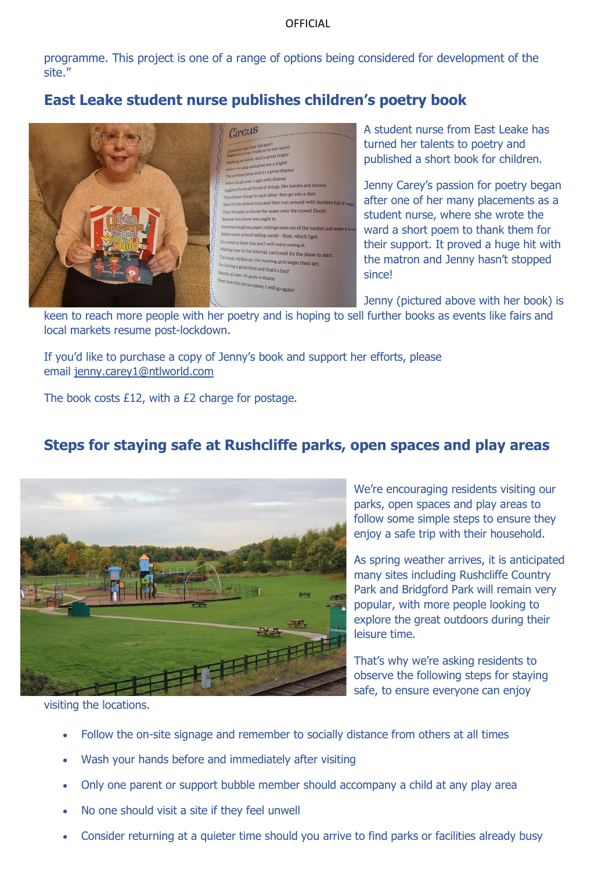programme. This project is one of a range of options being considered for development of the site."

# **East Leake student nurse publishes children's poetry book**



A student nurse from East Leake has turned her talents to poetry and published a short book for children.

Jenny Carey's passion for poetry began after one of her many placements as a student nurse, where she wrote the ward a short poem to thank them for their support. It proved a huge hit with the matron and Jenny hasn't stopped since!

Jenny (pictured above with her book) is

keen to reach more people with her poetry and is hoping to sell further books as events like fairs and local markets resume post-lockdown.

If you'd like to purchase a copy of Jenny's book and support her efforts, please email [jenny.carey1@ntlworld.com](mailto:jenny.carey1@ntlworld.com)

The book costs £12, with a £2 charge for postage.

# **Steps for staying safe at Rushcliffe parks, open spaces and play areas**



We're encouraging residents visiting our parks, open spaces and play areas to follow some simple steps to ensure they enjoy a safe trip with their household.

As spring weather arrives, it is anticipated many sites including Rushcliffe Country Park and Bridgford Park will remain very popular, with more people looking to explore the great outdoors during their leisure time.

That's why we're asking residents to observe the following steps for staying safe, to ensure everyone can enjoy

visiting the locations.

- Follow the on-site signage and remember to socially distance from others at all times
- Wash your hands before and immediately after visiting
- Only one parent or support bubble member should accompany a child at any play area
- No one should visit a site if they feel unwell
- Consider returning at a quieter time should you arrive to find parks or facilities already busy